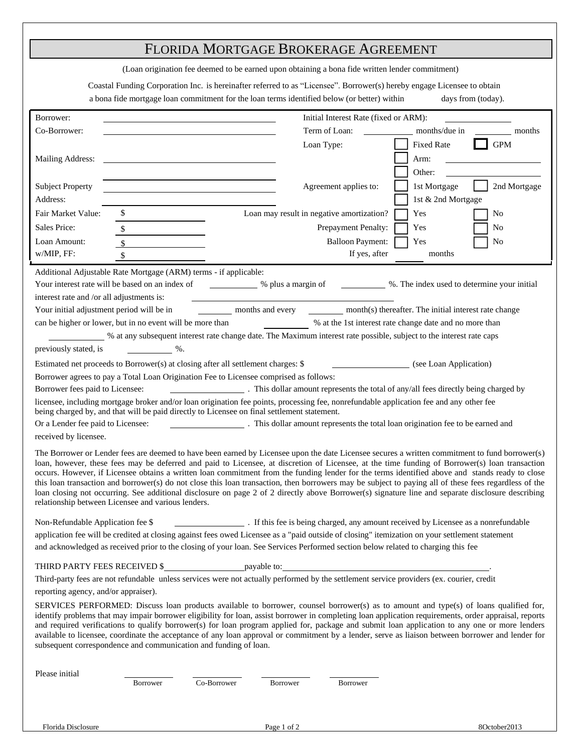# FLORIDA MORTGAGE BROKERAGE AGREEMENT

(Loan origination fee deemed to be earned upon obtaining a bona fide written lender commitment)

Coastal Funding Corporation Inc. is hereinafter referred to as "Licensee". Borrower(s) hereby engage Licensee to obtain

| a bona fide mortgage loan commitment for the loan terms identified below (or better) within |  |  | days from (today). |  |
|---------------------------------------------------------------------------------------------|--|--|--------------------|--|

| Borrower:                                                                                                                                                                                                                                                                                                                                                                                                                                                                                                                                                                                                                                                                                                                                                                                                               |                                                                                                                                        |             |                                           | Initial Interest Rate (fixed or ARM): |                                                                                                                                         |
|-------------------------------------------------------------------------------------------------------------------------------------------------------------------------------------------------------------------------------------------------------------------------------------------------------------------------------------------------------------------------------------------------------------------------------------------------------------------------------------------------------------------------------------------------------------------------------------------------------------------------------------------------------------------------------------------------------------------------------------------------------------------------------------------------------------------------|----------------------------------------------------------------------------------------------------------------------------------------|-------------|-------------------------------------------|---------------------------------------|-----------------------------------------------------------------------------------------------------------------------------------------|
| Co-Borrower:                                                                                                                                                                                                                                                                                                                                                                                                                                                                                                                                                                                                                                                                                                                                                                                                            |                                                                                                                                        |             |                                           | Term of Loan:                         | months/due in<br>months                                                                                                                 |
|                                                                                                                                                                                                                                                                                                                                                                                                                                                                                                                                                                                                                                                                                                                                                                                                                         |                                                                                                                                        |             |                                           | Loan Type:                            | <b>GPM</b><br><b>Fixed Rate</b>                                                                                                         |
| <b>Mailing Address:</b>                                                                                                                                                                                                                                                                                                                                                                                                                                                                                                                                                                                                                                                                                                                                                                                                 |                                                                                                                                        |             |                                           |                                       | Arm:                                                                                                                                    |
|                                                                                                                                                                                                                                                                                                                                                                                                                                                                                                                                                                                                                                                                                                                                                                                                                         |                                                                                                                                        |             |                                           |                                       | Other:                                                                                                                                  |
| <b>Subject Property</b>                                                                                                                                                                                                                                                                                                                                                                                                                                                                                                                                                                                                                                                                                                                                                                                                 |                                                                                                                                        |             |                                           | Agreement applies to:                 | 2nd Mortgage<br>1st Mortgage                                                                                                            |
| Address:                                                                                                                                                                                                                                                                                                                                                                                                                                                                                                                                                                                                                                                                                                                                                                                                                |                                                                                                                                        |             |                                           |                                       | 1st & 2nd Mortgage                                                                                                                      |
| Fair Market Value:                                                                                                                                                                                                                                                                                                                                                                                                                                                                                                                                                                                                                                                                                                                                                                                                      | \$                                                                                                                                     |             | Loan may result in negative amortization? |                                       | Yes<br>No                                                                                                                               |
| Sales Price:                                                                                                                                                                                                                                                                                                                                                                                                                                                                                                                                                                                                                                                                                                                                                                                                            | \$                                                                                                                                     |             |                                           | Prepayment Penalty:                   | Yes<br>No                                                                                                                               |
| Loan Amount:                                                                                                                                                                                                                                                                                                                                                                                                                                                                                                                                                                                                                                                                                                                                                                                                            | $\sqrt{\$}$                                                                                                                            |             |                                           | <b>Balloon Payment:</b>               | Yes<br>No                                                                                                                               |
| w/MIP, FF:                                                                                                                                                                                                                                                                                                                                                                                                                                                                                                                                                                                                                                                                                                                                                                                                              | $\boldsymbol{\mathsf{S}}$                                                                                                              |             |                                           | If yes, after                         | months                                                                                                                                  |
|                                                                                                                                                                                                                                                                                                                                                                                                                                                                                                                                                                                                                                                                                                                                                                                                                         |                                                                                                                                        |             |                                           |                                       |                                                                                                                                         |
|                                                                                                                                                                                                                                                                                                                                                                                                                                                                                                                                                                                                                                                                                                                                                                                                                         | Additional Adjustable Rate Mortgage (ARM) terms - if applicable:<br>Your interest rate will be based on an index of % plus a margin of |             |                                           |                                       | %. The index used to determine your initial                                                                                             |
| interest rate and /or all adjustments is:                                                                                                                                                                                                                                                                                                                                                                                                                                                                                                                                                                                                                                                                                                                                                                               |                                                                                                                                        |             |                                           |                                       |                                                                                                                                         |
| Your initial adjustment period will be in                                                                                                                                                                                                                                                                                                                                                                                                                                                                                                                                                                                                                                                                                                                                                                               |                                                                                                                                        |             |                                           |                                       | months and every month(s) thereafter. The initial interest rate change                                                                  |
|                                                                                                                                                                                                                                                                                                                                                                                                                                                                                                                                                                                                                                                                                                                                                                                                                         | can be higher or lower, but in no event will be more than                                                                              |             |                                           |                                       | % at the 1st interest rate change date and no more than                                                                                 |
|                                                                                                                                                                                                                                                                                                                                                                                                                                                                                                                                                                                                                                                                                                                                                                                                                         |                                                                                                                                        |             |                                           |                                       | % at any subsequent interest rate change date. The Maximum interest rate possible, subject to the interest rate caps                    |
| previously stated, is                                                                                                                                                                                                                                                                                                                                                                                                                                                                                                                                                                                                                                                                                                                                                                                                   | $\%$ .                                                                                                                                 |             |                                           |                                       |                                                                                                                                         |
|                                                                                                                                                                                                                                                                                                                                                                                                                                                                                                                                                                                                                                                                                                                                                                                                                         | Estimated net proceeds to Borrower(s) at closing after all settlement charges: \$                                                      |             |                                           |                                       | (see Loan Application)                                                                                                                  |
|                                                                                                                                                                                                                                                                                                                                                                                                                                                                                                                                                                                                                                                                                                                                                                                                                         | Borrower agrees to pay a Total Loan Origination Fee to Licensee comprised as follows:                                                  |             |                                           |                                       |                                                                                                                                         |
| Borrower fees paid to Licensee:                                                                                                                                                                                                                                                                                                                                                                                                                                                                                                                                                                                                                                                                                                                                                                                         |                                                                                                                                        |             |                                           |                                       | . This dollar amount represents the total of any/all fees directly being charged by                                                     |
|                                                                                                                                                                                                                                                                                                                                                                                                                                                                                                                                                                                                                                                                                                                                                                                                                         |                                                                                                                                        |             |                                           |                                       | licensee, including mortgage broker and/or loan origination fee points, processing fee, nonrefundable application fee and any other fee |
|                                                                                                                                                                                                                                                                                                                                                                                                                                                                                                                                                                                                                                                                                                                                                                                                                         | being charged by, and that will be paid directly to Licensee on final settlement statement.                                            |             |                                           |                                       |                                                                                                                                         |
| Or a Lender fee paid to Licensee:                                                                                                                                                                                                                                                                                                                                                                                                                                                                                                                                                                                                                                                                                                                                                                                       |                                                                                                                                        |             |                                           |                                       | This dollar amount represents the total loan origination fee to be earned and                                                           |
| received by licensee.                                                                                                                                                                                                                                                                                                                                                                                                                                                                                                                                                                                                                                                                                                                                                                                                   |                                                                                                                                        |             |                                           |                                       |                                                                                                                                         |
| The Borrower or Lender fees are deemed to have been earned by Licensee upon the date Licensee secures a written commitment to fund borrower(s)<br>loan, however, these fees may be deferred and paid to Licensee, at discretion of Licensee, at the time funding of Borrower(s) loan transaction<br>occurs. However, if Licensee obtains a written loan commitment from the funding lender for the terms identified above and stands ready to close<br>this loan transaction and borrower(s) do not close this loan transaction, then borrowers may be subject to paying all of these fees regardless of the<br>loan closing not occurring. See additional disclosure on page 2 of 2 directly above Borrower(s) signature line and separate disclosure describing<br>relationship between Licensee and various lenders. |                                                                                                                                        |             |                                           |                                       |                                                                                                                                         |
|                                                                                                                                                                                                                                                                                                                                                                                                                                                                                                                                                                                                                                                                                                                                                                                                                         |                                                                                                                                        |             |                                           |                                       |                                                                                                                                         |
| . If this fee is being charged, any amount received by Licensee as a nonrefundable<br>Non-Refundable Application fee \$                                                                                                                                                                                                                                                                                                                                                                                                                                                                                                                                                                                                                                                                                                 |                                                                                                                                        |             |                                           |                                       |                                                                                                                                         |
| application fee will be credited at closing against fees owed Licensee as a "paid outside of closing" itemization on your settlement statement                                                                                                                                                                                                                                                                                                                                                                                                                                                                                                                                                                                                                                                                          |                                                                                                                                        |             |                                           |                                       |                                                                                                                                         |
| and acknowledged as received prior to the closing of your loan. See Services Performed section below related to charging this fee                                                                                                                                                                                                                                                                                                                                                                                                                                                                                                                                                                                                                                                                                       |                                                                                                                                        |             |                                           |                                       |                                                                                                                                         |
|                                                                                                                                                                                                                                                                                                                                                                                                                                                                                                                                                                                                                                                                                                                                                                                                                         |                                                                                                                                        |             |                                           |                                       |                                                                                                                                         |
| Third-party fees are not refundable unless services were not actually performed by the settlement service providers (ex. courier, credit                                                                                                                                                                                                                                                                                                                                                                                                                                                                                                                                                                                                                                                                                |                                                                                                                                        |             |                                           |                                       |                                                                                                                                         |
| reporting agency, and/or appraiser).                                                                                                                                                                                                                                                                                                                                                                                                                                                                                                                                                                                                                                                                                                                                                                                    |                                                                                                                                        |             |                                           |                                       |                                                                                                                                         |
| SERVICES PERFORMED: Discuss loan products available to borrower, counsel borrower(s) as to amount and type(s) of loans qualified for,<br>identify problems that may impair borrower eligibility for loan, assist borrower in completing loan application requirements, order appraisal, reports<br>and required verifications to qualify borrower(s) for loan program applied for, package and submit loan application to any one or more lenders<br>available to licensee, coordinate the acceptance of any loan approval or commitment by a lender, serve as liaison between borrower and lender for<br>subsequent correspondence and communication and funding of loan.                                                                                                                                              |                                                                                                                                        |             |                                           |                                       |                                                                                                                                         |
|                                                                                                                                                                                                                                                                                                                                                                                                                                                                                                                                                                                                                                                                                                                                                                                                                         |                                                                                                                                        |             |                                           |                                       |                                                                                                                                         |
|                                                                                                                                                                                                                                                                                                                                                                                                                                                                                                                                                                                                                                                                                                                                                                                                                         |                                                                                                                                        |             |                                           |                                       |                                                                                                                                         |
| Please initial                                                                                                                                                                                                                                                                                                                                                                                                                                                                                                                                                                                                                                                                                                                                                                                                          | <b>Borrower</b>                                                                                                                        | Co-Borrower | Borrower                                  | Borrower                              |                                                                                                                                         |
|                                                                                                                                                                                                                                                                                                                                                                                                                                                                                                                                                                                                                                                                                                                                                                                                                         |                                                                                                                                        |             |                                           |                                       |                                                                                                                                         |
|                                                                                                                                                                                                                                                                                                                                                                                                                                                                                                                                                                                                                                                                                                                                                                                                                         |                                                                                                                                        |             |                                           |                                       |                                                                                                                                         |
| Florida Disclosure                                                                                                                                                                                                                                                                                                                                                                                                                                                                                                                                                                                                                                                                                                                                                                                                      |                                                                                                                                        |             | Page 1 of 2                               |                                       | 8October2013                                                                                                                            |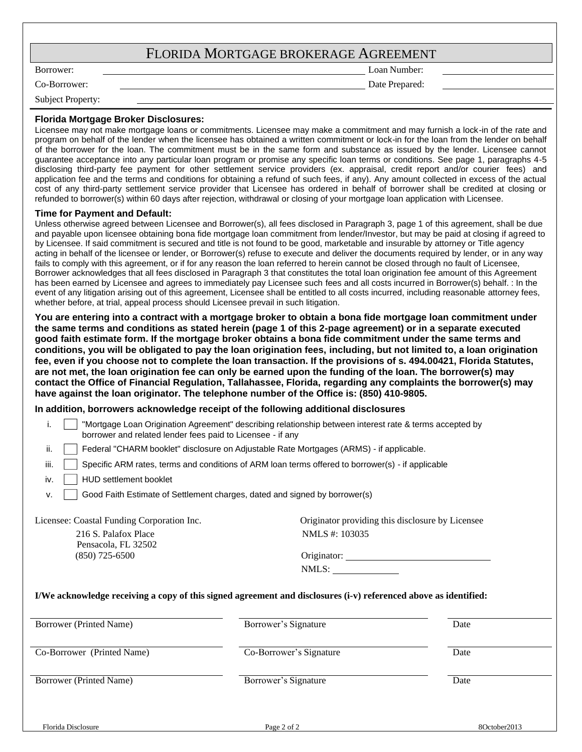| FLORIDA MORTGAGE BROKERAGE AGREEMENT |  |
|--------------------------------------|--|
|--------------------------------------|--|

Borrower: Loan Number:

Co-Borrower: Date Prepared:

Subject Property:

### **Florida Mortgage Broker Disclosures:**

Licensee may not make mortgage loans or commitments. Licensee may make a commitment and may furnish a lock-in of the rate and program on behalf of the lender when the licensee has obtained a written commitment or lock-in for the loan from the lender on behalf of the borrower for the loan. The commitment must be in the same form and substance as issued by the lender. Licensee cannot guarantee acceptance into any particular loan program or promise any specific loan terms or conditions. See page 1, paragraphs 4-5 disclosing third-party fee payment for other settlement service providers (ex. appraisal, credit report and/or courier fees) and application fee and the terms and conditions for obtaining a refund of such fees, if any). Any amount collected in excess of the actual cost of any third-party settlement service provider that Licensee has ordered in behalf of borrower shall be credited at closing or refunded to borrower(s) within 60 days after rejection, withdrawal or closing of your mortgage loan application with Licensee.

### **Time for Payment and Default:**

Unless otherwise agreed between Licensee and Borrower(s), all fees disclosed in Paragraph 3, page 1 of this agreement, shall be due and payable upon licensee obtaining bona fide mortgage loan commitment from lender/Investor, but may be paid at closing if agreed to by Licensee. If said commitment is secured and title is not found to be good, marketable and insurable by attorney or Title agency acting in behalf of the licensee or lender, or Borrower(s) refuse to execute and deliver the documents required by lender, or in any way fails to comply with this agreement, or if for any reason the loan referred to herein cannot be closed through no fault of Licensee. Borrower acknowledges that all fees disclosed in Paragraph 3 that constitutes the total loan origination fee amount of this Agreement has been earned by Licensee and agrees to immediately pay Licensee such fees and all costs incurred in Borrower(s) behalf. : In the event of any litigation arising out of this agreement, Licensee shall be entitled to all costs incurred, including reasonable attorney fees, whether before, at trial, appeal process should Licensee prevail in such litigation.

**You are entering into a contract with a mortgage broker to obtain a bona fide mortgage loan commitment under the same terms and conditions as stated herein (page 1 of this 2-page agreement) or in a separate executed good faith estimate form. If the mortgage broker obtains a bona fide commitment under the same terms and** conditions, you will be obligated to pay the loan origination fees, including, but not limited to, a loan origination **fee, even if you choose not to complete the loan transaction. If the provisions of s. 494.00421, Florida Statutes, are not met, the loan origination fee can only be earned upon the funding of the loan. The borrower(s) may contact the Office of Financial Regulation, Tallahassee, Florida, regarding any complaints the borrower(s) may have against the loan originator. The telephone number of the Office is: (850) 410-9805.**

### **In addition, borrowers acknowledge receipt of the following additional disclosures**

| i.<br>borrower and related lender fees paid to Licensee - if any | "Mortgage Loan Origination Agreement" describing relationship between interest rate & terms accepted by                                  |      |
|------------------------------------------------------------------|------------------------------------------------------------------------------------------------------------------------------------------|------|
| ii.                                                              | Federal "CHARM booklet" disclosure on Adjustable Rate Mortgages (ARMS) - if applicable.                                                  |      |
| iii.                                                             | Specific ARM rates, terms and conditions of ARM loan terms offered to borrower(s) - if applicable                                        |      |
| <b>HUD settlement booklet</b><br>iv.                             |                                                                                                                                          |      |
| v.                                                               | Good Faith Estimate of Settlement charges, dated and signed by borrower(s)                                                               |      |
| Licensee: Coastal Funding Corporation Inc.                       | Originator providing this disclosure by Licensee                                                                                         |      |
| 216 S. Palafox Place                                             | NMLS #: 103035                                                                                                                           |      |
| Pensacola, FL 32502<br>$(850)$ 725-6500                          |                                                                                                                                          |      |
|                                                                  |                                                                                                                                          |      |
|                                                                  | NMLS:                                                                                                                                    |      |
| Borrower (Printed Name)                                          | I/We acknowledge receiving a copy of this signed agreement and disclosures (i-v) referenced above as identified:<br>Borrower's Signature | Date |
| Co-Borrower (Printed Name)                                       | Co-Borrower's Signature                                                                                                                  | Date |
| Borrower (Printed Name)                                          | Borrower's Signature                                                                                                                     | Date |